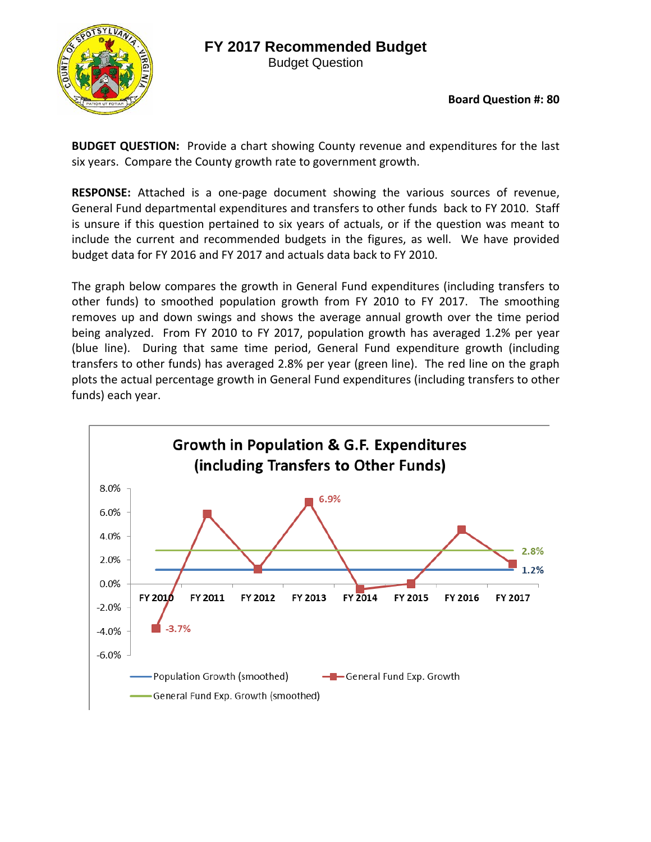## **FY 2017 Recommended Budget**



Budget Question

**Board Question #: 80**

**BUDGET QUESTION:** Provide a chart showing County revenue and expenditures for the last six years. Compare the County growth rate to government growth.

RESPONSE: Attached is a one-page document showing the various sources of revenue, General Fund departmental expenditures and transfers to other funds back to FY 2010. Staff is unsure if this question pertained to six years of actuals, or if the question was meant to include the current and recommended budgets in the figures, as well. We have provided budget data for FY 2016 and FY 2017 and actuals data back to FY 2010.

The graph below compares the growth in General Fund expenditures (including transfers to other funds) to smoothed population growth from FY 2010 to FY 2017. The smoothing removes up and down swings and shows the average annual growth over the time period being analyzed. From FY 2010 to FY 2017, population growth has averaged 1.2% per year (blue line). During that same time period, General Fund expenditure growth (including transfers to other funds) has averaged 2.8% per year (green line). The red line on the graph plots the actual percentage growth in General Fund expenditures (including transfers to other funds) each year.